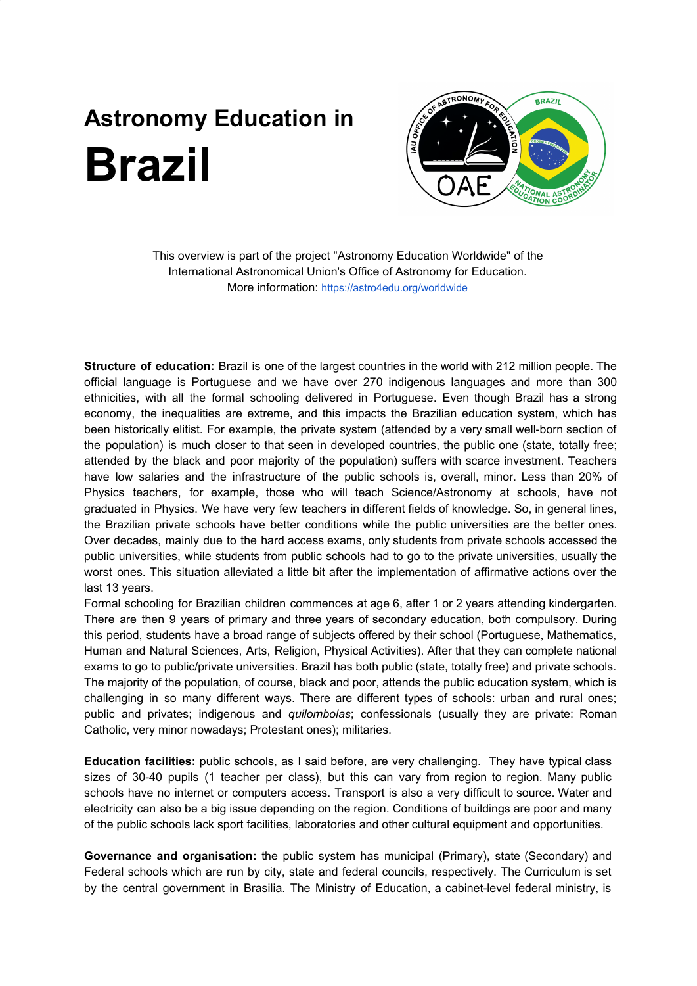## **Astronomy Education in Brazil**



This overview is part of the project "Astronomy Education Worldwide" of the International Astronomical Union's Office of Astronomy for Education. More information: <https://astro4edu.org/worldwide>

**Structure of education:** Brazil is one of the largest countries in the world with 212 million people. The official language is Portuguese and we have over 270 indigenous languages and more than 300 ethnicities, with all the formal schooling delivered in Portuguese. Even though Brazil has a strong economy, the inequalities are extreme, and this impacts the Brazilian education system, which has been historically elitist. For example, the private system (attended by a very small well-born section of the population) is much closer to that seen in developed countries, the public one (state, totally free; attended by the black and poor majority of the population) suffers with scarce investment. Teachers have low salaries and the infrastructure of the public schools is, overall, minor. Less than 20% of Physics teachers, for example, those who will teach Science/Astronomy at schools, have not graduated in Physics. We have very few teachers in different fields of knowledge. So, in general lines, the Brazilian private schools have better conditions while the public universities are the better ones. Over decades, mainly due to the hard access exams, only students from private schools accessed the public universities, while students from public schools had to go to the private universities, usually the worst ones. This situation alleviated a little bit after the implementation of affirmative actions over the last 13 years.

Formal schooling for Brazilian children commences at age 6, after 1 or 2 years attending kindergarten. There are then 9 years of primary and three years of secondary education, both compulsory. During this period, students have a broad range of subjects offered by their school (Portuguese, Mathematics, Human and Natural Sciences, Arts, Religion, Physical Activities). After that they can complete national exams to go to public/private universities. Brazil has both public (state, totally free) and private schools. The majority of the population, of course, black and poor, attends the public education system, which is challenging in so many different ways. There are different types of schools: urban and rural ones; public and privates; indigenous and *quilombolas*; confessionals (usually they are private: Roman Catholic, very minor nowadays; Protestant ones); militaries.

**Education facilities:** public schools, as I said before, are very challenging. They have typical class sizes of 30-40 pupils (1 teacher per class), but this can vary from region to region. Many public schools have no internet or computers access. Transport is also a very difficult to source. Water and electricity can also be a big issue depending on the region. Conditions of buildings are poor and many of the public schools lack sport facilities, laboratories and other cultural equipment and opportunities.

**Governance and organisation:** the public system has municipal (Primary), state (Secondary) and Federal schools which are run by city, state and federal councils, respectively. The Curriculum is set by the central government in Brasilia. The Ministry of Education, a cabinet-level federal ministry, is